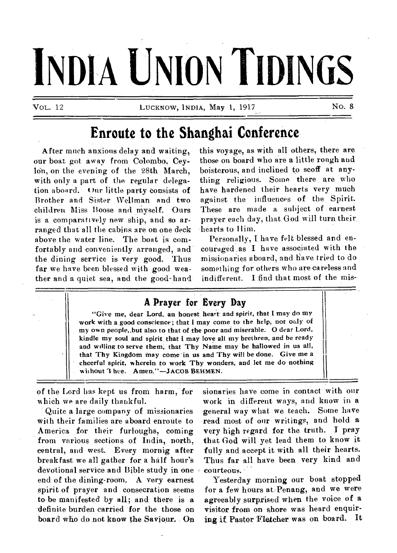# **INDIA UNION TIDINGS**

VoL. 12 LUCKNOW, INDIA, May 1, 1917 No. 8

## **Enroute to the Shanghai Conference**

After much anxious delay and waiting, our boat got away from Colombo, Cey-16n,-on the evening of the 28th March, with only a part of the regular delegation aboard. Our little party consists of Brother and Sister Wellman and two children Miss Boose and myself. Ours is a comparatively new ship, and so arranged that all the cabins are on one deck above the water line. The boat is comfortably and conveniently arranged, and the dining service is very good. Thus far we have been blessed with good weather and a quiet sea, and the good-hand this voyage, as with all others, there are those on board who are a little rough and boisterous, and inclined to scoff at anything religious. Some there are who have hardened their hearts very much against the influences of the Spirit. These are made a subject of earnest 'prayer each day, that God will turn their, hearts to Ilim.

Personally, I have felt blessed and encouraged as I have associated with the missionaries aboard, and have tried to do something for others who are careless and indifferent. I find that most of the mis-



of the Lord has kept us from harm, for which we are daily thankful.

Quite a large company of missionaries with their families are aboard enroute to America for their furloughs, coming from various sections of India, north, central, and west. Every mornig after breakfast we all gather for a half hour's devotional service and Bible study in one end of the dining-room. A very earnest spirit of prayer and consecration seems to-be manifested by all; and there is -a -definite burden carried for the those on board who do not know the Saviour. sionaries have come in contact with our work in different ways, and know in a general way what we teach. Some have read most of our writings, and hold a very high regard for the truth. I pray that God will yet lead them to know it fully and accept it with all their hearts. Thus far all have been very kind and courteous.

Yesterday morning our boat stopped for a few hours at Penang, and we were agreeably surprised when the voice of a visitor from on shore was heard enquiring if Pastor Fletcher was on board. It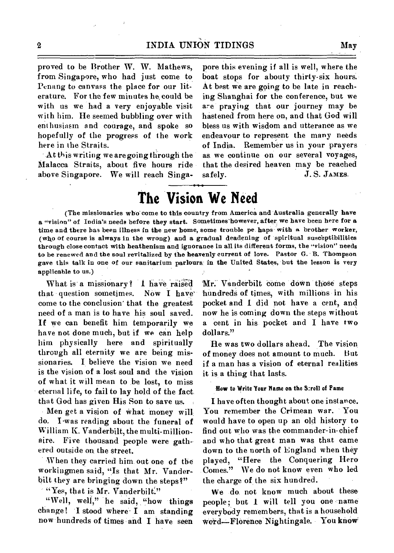proved to be Brother W. W. Mathews, from Singapore, who had just come to Penang to canvass the place for our literature. For the few minutes he, could be with us we had a very enjoyable visit with him. He seemed bubbling over with enthusiasm and courage, and spoke so hopefully of the progress of the work here in the Straits.

At this writing we are going through the Malacca Straits, about five hours ride above Singapore. We will reach Singspore this evening if all is well, where the boat stops for abouty thirty-six hours. At best we are going to be late in reaching Shanghai for the conference, but we are praying that our journey may be hastened from here on, and that God will bless us with wisdom and utterance as we endeavour to represent the many needs of India. Remember us in your prayers as we continue on our several voyages, that the desired heaven may be reached *safely. J. S.* JAMES.

## **The Vision We Need**

(The missionaries who come to this country from America and Australia generally have a "vision" of India's needs before they start. Sometimes'however, after, we have been here for a time and there has been illness in the new home, some trouble pe haps with a brother worker, (who of course is always in the wrong) and a gradual deadening of spiritual susceptibilities through close contact with heathenism and ignorance in all its different forms, the "vision" needs to be renewed and the soul revitalized by the heavenly current of love. Pastor G. B. Thompson gave this talk in one of our sanitarium parlours in the United States, but the lesson is very applicable to us.)

What is a missionary? I have raised that question sometimes. Now I have' come to the conclusion" that the greatest need of a man is to have his soul saved. If we can benefit him temporarily we have not done much, but if we can help him physically here and spiritually through all eternity we are being missionaries. I believe the vision we need is the vision of a lost soul and the vision of what it will mean to be lost, to miss eternal life, to fail to lay hold of the fact. that God has given His Son to save us.

Men get a vision of what money will, do. I-was reading about the funeral of William K. Vanderbilt, the multi-millionaire. Five thousand people were gathered outside on the street.

When they carried him out one of the workingmen said, "Is that Mr. Vanderbilt they are bringing down the steps?"

 $\lq$  "Yes, that is Mr. Vanderbilt."

"Well, well," he said, "how things change! I stood where I am standing now hundreds of times and I have seen Mr: Vanderbilt come down those steps hundred§ of times, with millions in his pocket and I did not have a cent, and now he is coming down the steps without a cent in his pocket and I have two dollars."

He was two dollars ahead. The vision of money does not amount to much. But if a man has a vision of eternal realities it is a thing that lasts.

#### How to Write Your Name on the Stroll of Fame

I have often thought about one instance. You remember the Crimean war. You would have to open up an old history to find out who was the commander-in-chief and who that great man was that came down to the north of England when they played, "Here the Conquering Hero Comes." We do not know even who led the charge of the six hundred.

We do not know much about these people; but I will tell you one-name everybody remembers, that is a household Word--Florence Nightingale. You know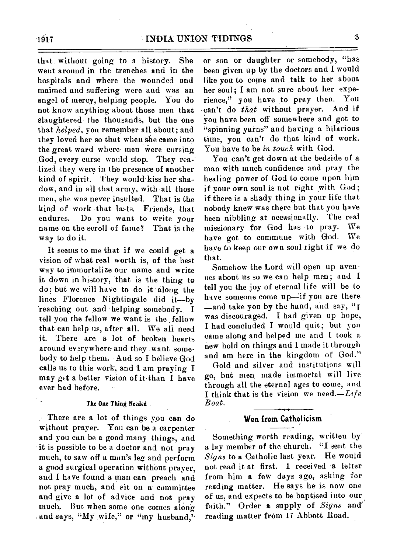that without going to a history. She went around in the trenches and in the hospitals and where the wounded and maimed and suffering were and was an angel of mercy, helping people. You do not know anything about those men that slaughtered the thousands, but the one that *helped,* you remember all about; and they loved her so that when she came into the great ward where men were cursing God, every curse would stop. They realized they were in the presence of another kind of spirit. 'they would kiss her shadow, and in all that army, with all those men, she was never insulted. That is the kind of work -that lasts. Friends, that endures. Do you want to write your name on the scroll of fame? That is the way to do it.

It seems to me that if we could get a vision of what real worth is, of the best way to immortalize our name and write it down in history, that is the thing to do; but we will have to do it along the lines Florence Nightingale did it—by 'reaching out and helping somebody. I tell you the fellow we want is the fellow that can help us, after all. We all need it. There are a lot of broken hearts around everywhere and they want somebody to help them. And so **I** believe God calls us to this work, and I am praying I may get a better vision of it than I have ever had before.

#### **The One Thing Needed**

There are a lot of things you can do without prayer. You can be a carpenter and you can be a good many things, and it is possible to be a doctor and not pray much, to saw off a man's leg and perform a good surgical operation without prayer, and I have found a man can preach and not pray much, and sit on a committee and give a lot of advice and not pray much. But when some one comes along and says, "My wife," or "my husband," or son or daughter or somebody, "has been given up by the doctors and **I** would like you to come and talk to her about her soul; I am not sure about her experience," you have to pray then. You • can't do *that* without prayer. And if you have been off somewhere and got to "spinning yarns" and having a hilarious time, you can't do that kind of work. You have to be *in touch* with God.

You can't get down at the bedside of a man with much confidence and pray the healing power of God to come upon him if your own soul is not right with God; if there is a shady thing in your life that nobody knew was there but that you have been nibbling at occasionally. The real missionary for God has to pray. We have got to commune with God. We have to keep our own soul right if we do that.

Somehow the Lord will open up avenues about us so we can help men; and I tell you the joy of eternal life will be to have someone come up-if you are there  $\equiv$  and take you by the hand, and say, " $\Gamma$ was discouraged. I had given up hope, I had concluded I would quit; but you came along and helped me and I took a new hold on things and I made it through and am here in the kingdom of God."

Gold and silver and institutions will go, but men\_ made immortal will live through all the eternal ages to come, and I think that is the vision we need.— $Life$ *Boat.* 

#### **Won from Catholicism**

Something worth reading, written by a lay member of the church. "I sent the *Signs* to a Catholic last year. He would not read it at first. 1 received -a letter from him a few days ago, asking for reading matter. He says he is now one of us, and expects to be baptised into our faith." Order a supply of *Signs* and reading matter from 17 Abbott Road.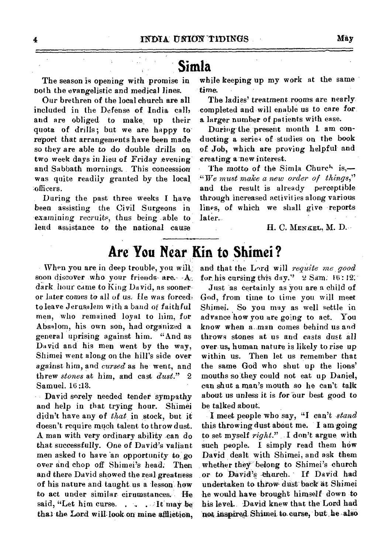## **Simla**

The season is opening with promise in both the evangelistic and medical lines.

Our brethren of the local church are all included in the Defense of India call, and are obliged. to make, up their quota of drills; but we are happy toreport that arrangements have been made so they are able to do double drills on two week days in lieu of *Friday .evening*  and Sabbath mornings. This concession was quite readily granted by the local. :officers.

During the past three weeks I have been assisting the Civil Surgeons in 'examining recruits, thus being able to lend assistance to the national cause

while keeping up my work at the same time.

The *ladies'* treatment. rooms are nearly completed and will enable us to care for *a* larger number of patients with ease.

During the present month I am conducting a series of studies on the book of Job, which are proving helpful and creating a new interest.

The motto of the Simla Church is,-*"I I re must make a new order of things,"*  and the result is already perceptible through increased activities along various lines, of which we shall give reports later.

H. C. **MENKEL, M.** D.--

## **Are You Near Kin to Shimei ?**

When you are in deep trouble, you soon discover who your friends- are.  $A_1$ dark hour came to King  $D$ avid, as sooneror later comes to all of us. He was forced to leave Jerusalem with a band of faithful men, who remained loyal to him, for Absalom, his own son, had organized a general uprising against him. "And as David and his men went by the way, Shimei went along on the hill's side over against him, and *cursed* as he went, and threw *stones* at him, and cast *dust."* 2 Samuel. 16 :13.

David sorely needed tender sympathy and help in that trying hour. Shimei didn't have any of *that* in stock, but it doesn't require much talent to throw dust. A. man with very ordinary ability -can do that successfully. One of David's valiant men asked to have an opportunity to go over and chop off Shimei's head: Then and there David showed the real greatness of his nature and taught. us a lesson: how to act under similar eirumstances. said, "Let him curse....  $\therefore$  It may be that the Lord will look on mine affliction.

and that the Lord will *requite me. good* for, his cursing this day." 2 **Sam:** 12:'

Just as certainly as you are a child of God, from **time to** time you will meet Shimei. So you may as well settle advance how you are going to act. You know when  $a$  man comes behind us and throws stones at us and casts dust all over us, human nature is likely to rise up within us. Then let us remember that the same God who shut up the lions' mouths solthey could not eat up Daniel, can shut a man's mouth so he can't talk about us unless it is for our best good to be talked about.

I meet people who say, "I can't *,stand*  this throwing dust about me. I am going to set myself *right."* I don't argue, with such people. I simply read them how David dealt with Shimei, and ask them whether they belong to Shimei's church or to David's church. If David had undertaken to throw dust back at Shimei he would have brought himself down to his level. David knew that the Lord had not inspired Shimei to curse, but he also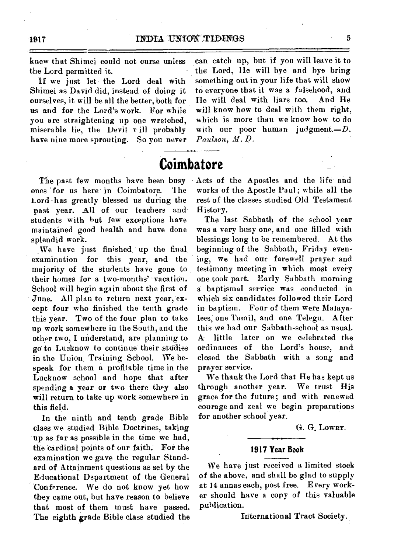knew that Shimei could not curse unless the Lord permitted it.

If we just let the Lord deal with Shimei as David did, instead of doing it ourselves, it will be all the better, both for us and for the Lord's work. For while you are straightening up one wretched, miserable lie, the Devil v ill probably have nine more sprouting. So you never

can catch up, but if you will leave it to the Lord, He will bye and bye bring something out in your life that will show to everyone that it was a falsehood, and He will deal with liars too. And He will know how to deal with them right. which is more than we know how to do with our poor human judgment.-D. *Paulson, M.* D.

## **Coimbatore**

The past few months have been busy ones 'for us here' in Coimbatore. '1 he Lord has greatly blessed us during the past year. All of our teachers and students with hut few exceptions have maintained good health and have done splendid work.

We have just finished up the final examination for this year, and the majority of the students have gone to their homes for a two-months' -vacation. School will begin again about the first of June. All plan to return next year, except four who finished the tenth grade this year. Two of the four plan to take up work somewhere in the South, and the other two, I understand, are planning to go to Lucknow to continue' their studies in the Union, Training School. We bespeak for them a profitable time in the Lucknow school and hope that after spending a year or two there they also will return to take up work somewhere in this field.

In the ninth and tenth grade Bible class we studied Bible Doctrines, taking up as far as possible in the time we had, the 'cardinal points of our faith. For the examination we gave the regular Standard of Attainment questions as set by the Educational Department of the General Conference. We do not know yet how they came out, but have reason to believe that most of them must have passed. The eighth grade Bible class studied the

Acts of the Apostles and the life and works of the Apostle Paul; while all the rest of the classes studied Old Testament History.

The last Sabbath of the school year was a very busy one, and one filled with blessings long to be remembered. At the beginning of the Sabbath, Friday evening, we had our farewell prayer and testimony meeting in which most every one took part. Early Sabbath morning a baptismal service was conducted in which six candidates followed their Lord in baptism. Four of them were Malayalees, one Tamil, and one Telegu. After this we had our Sabbath-school as usual. little later on we celebrated the ordinances of the Lord's house, and closed the Sabbath with a song and prayer service.

We thank the Lord that He has kept us through another year. We trust His grace for the future; and with renewed courage and zeal we begin preparations for another school year.

G. G. **LOWRY.** 

### **1917 Year Book**

We have just received a limited stock of the above, and shall be glad to supply at 14 annas each, post free. Every worker should have a copy of this valuable publication.

International Tract Society.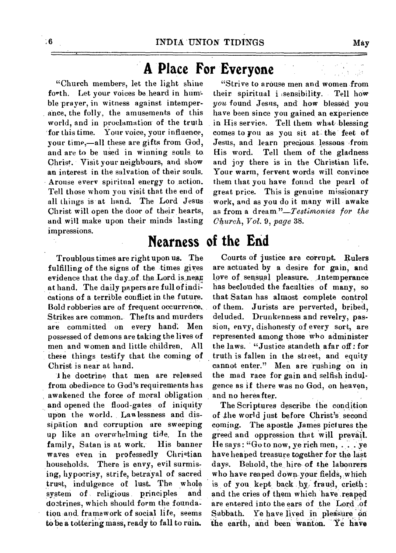## **A Place For Everyone**

"Church members, let the light shine forth. Let your voices be heard in humble prayer, in witness against intemperance, the folly, the amusements of this world, and in proclamation of the truth - for this time. Your voice, your influence, your time,—all these are gifts from God, and are to be used in winning souls to. Christ. Visit your neighbours, and show an interest in the salvation of their souls. Arouse every spiritual energy to action. Tell those whom you visit that the end of all things is at hand. The Lord Jesus Christ will open the door of their hearts, and will make upon their minds lasting impressions.

Troublous times are right upon us. The fulfilling of the signs of the times gives evidence that the day of the Lord is near at hand. The daily papers are full of indications of a terrible conflict in the future. Bold robberies are of frequent occurrence. Strikes are common. Thefts and murders are committed on every hand. Men possessed of demons are taking the lives of men and women and little children. All these things testify that the coming of Christ is near at hand.

1 he doctrine that men are released from obedience to God's requirements has awakened the force of moral Obligation and opened the flood-gates of iniquity upon the world. Lawlessness and dissipation and corruption are sweeping up like an overwhelming tide. In the family, Satan is at work; His banner waves even in professedly Christian households. There is envy, evil surmising, hypocrisy, strife, betrayal of sacred trust, indulgence of lust. The whole<br>system of religious principles and system of religious principles doctrines, which should form the foundation and framework of social life, seems to be a tottering mass, ready to fall to ruin.

"Strive to arouse men and women from their spiritual i :sensibility. Tell how *you* found Jesus, and how blessed you have been since you gained an experience in His service. Tell them what blessing comes to you as you sit at the feet of Jesus, and learn precious lessons from His word. Tell them of the gladness and joy there is in the Christian life. Your warm, fervent words will convince them that you have found the pearl of great price. This is genuine missionary work, and as you do it many will awake as from a dream *"—T estimonies for the Church, Vol.* 9, *page* 38.

**Nearness of the End** 

Courts of justice are corrupt. Rulers are actuated by a desire for gain, and love of sensual pleasure. Intemperance has beclouded the faculties of many, so that Satan has almost complete control of them. Jurists are perverted, bribed, deluded. Drunkenness and revelry, passion, envy, dishonesty of every sort, are represented among those who administer the laws. "Justice standeth afar off: for truth is fallen in the street, and equity cannot enter." Men are rushing on in the mad race for gain and selfish indulgence as if there was no God, on heaven, and no hereafter.

The Scriptures describe. the condition of the world just before Christ's, second coming. The apostle James pictures the greed and oppression that will prevail. He says: "Go to now, ye rich men, . . . ye have heaped treasure together for the last days. Behold, the hire of the labourers who have reaped down-your fields, which is of you kept back by fraud, crieth: and the cries of them which have reaped are entered into the ears of the Lord of Sabbath. Ye have lived in pleasure on the earth, and been wanton. Ye have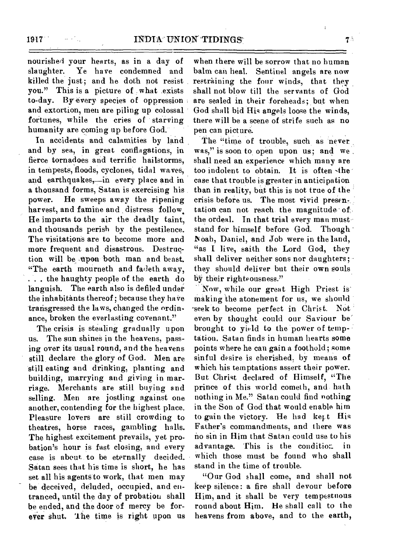nourished your hearts, as in a day of slaughter. Ye have condemned and killed the just; and he doth not resist you." This is a picture of what exists to-day. Byevery species of oppression and extortion, men are piling up colossal fortunes, while the cries of starving humanity are coming up before God.'

In accidents and calamities by land and by sea, in great conflagations, in fierce tornadoes and terrific hailstorms, in tenipests, floods, cyclones, tidal waves, and earthquakes,-in every place and in a thousand forms, Satan is exercising his power. He sweeps away the ripening harvest, and famine and distress follow. He imparts to the air the deadly taint, and thousands perish by the pestilence. The visitations are to become more and more frequent and disastrous. Destruction will be upon both man and beast. "The earth mourneth and fadeth away, . . . the haughty people of the earth do languish. The earth also is defiled under the inhabitants thereof; because they have transgressed the laws, changed the ordinance, broken the everlasting covenant."

The crisis is stealing gradually upon us. The sun shines in the heavens, passing over its usual round, and the heavens still, declare the glory of God. Men are still eating and drinking, planting and building, marrying and giving in marriage. Merchants are still buying and selling. Men are jostling against one another, contending for the highest place. Pleasure lovers are still crowding to theatres, horse races, gambling halls. The highest excitement prevails, yet probation's hour is fast closing, and every case is about to be eternally decided. Satan sees that his time is short, he has set all his agents to work, that men may be deceived, deluded, occupied, and entranced, until the day of probation shall be ended, and the door of mercy be forever shut. The time is right upon us

when there will be sorrow that no human balm can heal. Sentinel angels are now restraining the four winds, that they shall not blow till the servants of God are sealed in their foreheads; but when God shall bid His angels loose the winds, there will be a scene of strife such as no pen can picture.

The "time of trouble, such as never was," is soon to open upon us; and we. shall need an experience which many are too indolent to obtain. It is often -the case that trouble is greater in anticipation than in reality, but this is not true of the crisis before us. The most vivid presentation can not reach the magnitude of the ordeal. In that trial every man must stand for himself before God. Though \_Noah, Daniel, and Job were in the land, "as I live, saith the Lord God, they shall deliver neither sons nor daughters;they should deliver but their own souls by their righteousness."

Now, while our great High Priest is making the atonement for us, we should seek to become perfect in Christ. Not even by thought could our Saviour be' brought to yield to the power of temptation. Satan finds in human hearts some points where he can gain a foothold; some sinful desire is cherished, by means of which his temptations assert their power. But Christ declared of Himself, "The prince of this world cometh, and hath nothing in Me." Satan could find nothing in the Son of God that would enable him to gain the victory. He had kept His Father's commandments, and there was no sin in Him that Satan could use to his advantage. This is the conditior. in which those must be found who shall stand in the time of trouble.

"Our God shall come, and shall not keep silence: a fire shall devour before Him, and it shall be very tempestuous round about Him. He shall call to the heavens from above, and to the earth,